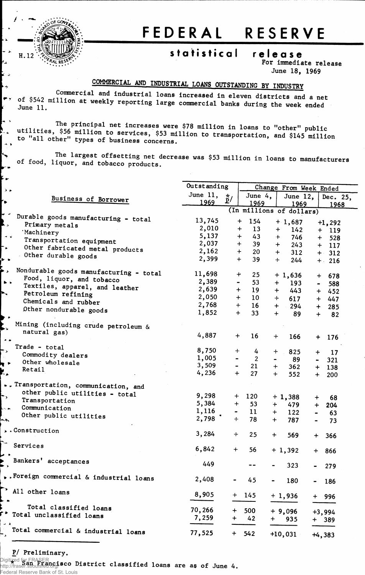

**s** 

r.

 $\rightarrow$ 

 $\sum_{i=1}^{n}$ 

 $\rightarrow$   $\rightarrow$ 

 $\mathbf{r}$ েয় L4  $\blacktriangleright$  y

## FEDERAL RESERVE

## statistical release

**For immediate release June 18, 1969**

## **COMMERCIAL AND INDUSTRIAL LOANS OUTSTANDING BY INDUSTRY**

**of \$542 mn?^ erC ^ <sup>a</sup> <sup>l</sup> lndu8trla <sup>l</sup> loan <sup>s</sup> increased in eleven districts and a net June 11. weekly reporting large commercial banks during the week ended**

The principal net increases were \$78 million in loans to "other" public<br>\$56 million to counters \$52, 1112 million in loans to "other" public utilities, \$56 million to services, \$53 million to transportation, and \$145 million<br>to "all other" types of business concerns do "all other" types of business concerns.

The largest offsetting net decrease was \$53 million in loans to manufacturers of food, liquor, and tobacco products.

|                                                             | Outstanding | Change From Week Ended       |                  |                |                          |                |            |  |
|-------------------------------------------------------------|-------------|------------------------------|------------------|----------------|--------------------------|----------------|------------|--|
|                                                             |             | June 11,                     |                  |                |                          |                |            |  |
| <b>Business of Borrower</b>                                 |             | $\star$ ,<br>$\mathbf{p}/$   | June $4,$        |                | June 12,                 |                | Dec. 25,   |  |
|                                                             | 1969        |                              | 1969             |                | 1969                     |                | 1968       |  |
| ► ∽                                                         |             |                              |                  |                | (In millions of dollars) |                |            |  |
| Durable goods manufacturing - total<br>【、<br>Primary metals | 13,745      |                              | 154<br>$\ddot{}$ |                | $+1,687$                 |                | $+1,292$   |  |
| 'Machinery                                                  | 2,010       |                              | 13<br>$\bm{+}$   | $+$            | 142                      |                | $+ 119$    |  |
| $\rightarrow$ $\rightarrow$                                 | 5,137       |                              | 43<br>$\div$     | $+$            | 746                      |                | 528<br>$+$ |  |
| Transportation equipment                                    | 2,037       |                              | 39<br>$\div$     | $+$            | 243                      |                | $+ 117$    |  |
| ⊦∙<br>Other fabricated metal products                       | 2,162       | $\ddot{}$                    | 20               | $+$            | 312                      |                | $+ 312$    |  |
| Other durable goods<br>Ļ.                                   | 2,399       |                              | 39<br>$+$        | $+$            | 244                      |                | $+ 216$    |  |
| Þ,<br>Nondurable goods manufacturing - total                |             |                              |                  |                |                          |                |            |  |
| Food, liquor, and tobacco                                   | 11,698      | $\ddot{}$                    | 25               |                | $+1,636$                 | $\pm$          | 678        |  |
| $\overline{a}$<br>Textiles, apparel, and leather            | 2,389       | $\qquad \qquad \blacksquare$ | 53               | $+$            | 193                      |                | 588        |  |
| Þ.<br>Petroleum refining                                    | 2,639       | $+$                          | 19               | $+$            | 443                      |                | $+ 452$    |  |
| Chemicals and rubber                                        | 2,050       | $+$                          | 10               | ╈              | 617                      |                | $+ 447$    |  |
|                                                             | 2,768       | $+$                          | 16               | $+$ $-$        | 294                      | $+$            | 285        |  |
| Other nondurable goods                                      | 1,852       | $+$                          | 33               | $+$            | 89                       | $\ddot{}$      | 82         |  |
|                                                             |             |                              |                  |                |                          |                |            |  |
| Mining (including crude petroleum &<br>natural gas)         |             |                              |                  |                |                          |                |            |  |
| $\rightarrow$ $\rightarrow$                                 | 4,887       | $+$                          | 16               | $+$            | 166                      | $\ddot{}$      | 176        |  |
| Trade - total                                               |             |                              |                  |                |                          |                |            |  |
| ≛≻                                                          | 8,750       | $+$                          | 4                | $\ddag$        | 825                      | $+$            | 17         |  |
| Commodity dealers<br>Other wholesale                        | 1,005       | $\blacksquare$               | $\overline{2}$   | $\blacksquare$ | 89                       | $\sim$         | 321        |  |
| Retail                                                      | 3,509       | $\blacksquare$               | 21               | $+$            | 362                      |                | $+ 138$    |  |
| Ķ,                                                          | 4,236       | $+$                          | 27               | $+$            | 552                      | $+$            | 200        |  |
| Transportation, communication, and                          |             |                              |                  |                |                          |                |            |  |
| other public utilities - total                              | 9,298       |                              |                  |                |                          |                |            |  |
| $\rightarrow$<br>Transportation                             |             | $+$                          | 120              |                | $+1,388$                 | $\pm$          | 68         |  |
| Communication<br>$\sim$                                     | 5,384       | $+$                          | 53               | $+$            | 479                      | $+$            | 204        |  |
| Other public utilities                                      | 1,116       | $\blacksquare$               | 11               | $+$            | 122                      | $\blacksquare$ | 63         |  |
| لمبد                                                        | 2,798       | $+$                          | 78               | $+$            | 787                      | $\blacksquare$ | 73         |  |
| .Construction                                               | 3,284       | $\qquad \qquad +$            | 25               | $+$            | 569                      | $+$            | 366        |  |
|                                                             |             |                              |                  |                |                          |                |            |  |
| Services                                                    | 6,842       | $+$                          | 56               |                | $+1,392$                 | $+$            | 866        |  |
|                                                             |             |                              |                  |                |                          |                |            |  |
| Bankers' acceptances                                        | 449         |                              |                  |                | 323                      | $\blacksquare$ | 279        |  |
|                                                             |             |                              |                  |                |                          |                |            |  |
| . Foreign commercial & industrial loans                     | 2,408       |                              | 45               |                | 180                      |                | 186        |  |
| All other loans                                             | 8,905       | $+$                          |                  |                |                          |                |            |  |
|                                                             |             |                              | 145              |                | $+1,936$                 |                | + 996      |  |
| Total classified loans                                      | 70,266      | $\ddot{}$                    | 500              |                |                          |                |            |  |
| r <sup>&gt;</sup> Total unclassified loans                  | 7,259       |                              |                  |                | $+9,096$                 |                | $+3,994$   |  |
| يد ت                                                        |             | $+$                          | 42               | $+$ $-$        | 935                      |                | + 389      |  |
| Total commercial & industrial loans                         | 77,525      | $+$                          | 542              |                | $+10,031$                |                | $+4,383$   |  |

**P/ Preliminary.**

Federal Reserve Bank of St. Louis

**\* San Francisco District classified loans are as of June 4.** Digitized for FRASER http://fraser.stlouisfed.org/